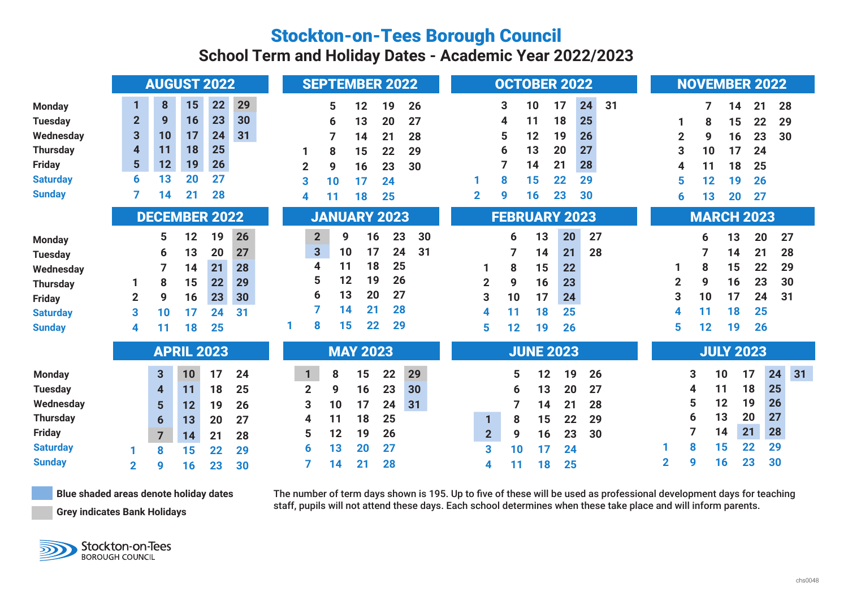## Stockton-on-Tees Borough Council

**School Term and Holiday Dates - Academic Year 2022/2023**

| 8<br>1<br><b>Monday</b>                                                                                                                                                               |                                                                                                                                                                                                                                                                                                                                            |                                                                                                                                                                                 | <b>NOVEMBER 2022</b>                                                                                                                                                               |  |  |  |  |  |  |
|---------------------------------------------------------------------------------------------------------------------------------------------------------------------------------------|--------------------------------------------------------------------------------------------------------------------------------------------------------------------------------------------------------------------------------------------------------------------------------------------------------------------------------------------|---------------------------------------------------------------------------------------------------------------------------------------------------------------------------------|------------------------------------------------------------------------------------------------------------------------------------------------------------------------------------|--|--|--|--|--|--|
| <b>Tuesday</b><br>3<br>Wednesday<br>$\overline{\mathbf{4}}$<br><b>Thursday</b><br>$5\phantom{1}$<br><b>Friday</b><br>6<br><b>Saturday</b><br><b>Sunday</b>                            | 29<br>15<br>22<br>5<br>12<br>19<br>26<br>$\overline{2}$<br>9<br>23<br>30<br>16<br>27<br>20<br>13<br>6<br>10<br>17<br>24<br>31<br>7<br>28<br>14<br>21<br>18<br>25<br>11<br>8<br>15<br>22<br>29<br>19<br>26<br>12<br>$\overline{2}$<br>23<br>30<br>9<br>16<br>20<br>13<br>27<br>3<br>17<br>24<br>10<br>21<br>28<br>14<br>18<br>25<br>4<br>11 | 24<br>31<br>17<br>3<br>10<br>18<br>25<br>11<br>4<br>19<br>5<br>12<br>26<br>13<br>20<br>27<br>6<br>21<br>14<br>28<br>22<br>29<br>8<br>15<br>$\mathbf{2}$<br>9<br>16<br>23<br>30  | 28<br>21<br>7<br>14<br>15<br>22<br>29<br>8<br>$\overline{2}$<br>23<br>30<br>9<br>16<br>3<br>17<br>10<br>24<br>11<br>18<br>25<br>4<br>5<br>12<br>19<br>26<br>20<br>27<br>13<br>6    |  |  |  |  |  |  |
|                                                                                                                                                                                       | <b>DECEMBER 2022</b><br><b>JANUARY 2023</b>                                                                                                                                                                                                                                                                                                | <b>FEBRUARY 2023</b>                                                                                                                                                            | <b>MARCH 2023</b>                                                                                                                                                                  |  |  |  |  |  |  |
| 5<br><b>Monday</b><br>6<br><b>Tuesday</b><br>7<br>Wednesday<br>8<br><b>Thursday</b><br>9<br>$\overline{2}$<br><b>Friday</b><br>3<br>10<br><b>Saturday</b><br><b>Sunday</b><br>11<br>4 | 12<br>19<br>26<br>$\overline{2}$<br>23<br>9<br>16<br>$\overline{\mathbf{3}}$<br>17<br>24<br>10<br>13<br>20<br>27<br>18<br>25<br>4<br>11<br>21<br>14<br>28<br>5<br>19<br>26<br>12<br>15<br>22<br>29<br>20<br>6<br>13<br>27<br>16<br>23<br>30<br>21<br>7<br>14<br>28<br>31<br>17<br>24<br>8<br>15<br>22<br>29<br>25<br>18                    | 30<br>13<br>20<br>27<br>6<br>31<br>28<br>21<br>14<br>15<br>22<br>8<br>1<br>$\overline{2}$<br>9<br>16<br>23<br>3<br>17<br>10<br>24<br>25<br>18<br>11<br>4<br>5<br>26<br>12<br>19 | 13<br>20<br>27<br>6<br>7<br>21<br>28<br>14<br>15<br>22<br>29<br>8<br>$\mathbf 2$<br>9<br>16<br>23<br>30<br>3<br>17<br>24<br>10<br>31<br>18<br>25<br>4<br>11<br>5<br>19<br>26<br>12 |  |  |  |  |  |  |
|                                                                                                                                                                                       | <b>APRIL 2023</b><br><b>MAY 2023</b>                                                                                                                                                                                                                                                                                                       | <b>JUNE 2023</b>                                                                                                                                                                | <b>JULY 2023</b>                                                                                                                                                                   |  |  |  |  |  |  |
| $\mathbf{3}$<br><b>Monday</b><br><b>Tuesday</b><br>$\overline{\mathbf{4}}$<br>Wednesday<br>$5\phantom{1}$                                                                             | 29<br>17<br>24<br>22<br>10<br>$\mathbf{1}$<br>8<br>15<br>$\overline{2}$<br>25<br>23<br>30<br>11<br>18<br>9<br>16<br>17<br>3<br>24<br>31<br>10<br>12<br>19<br>26                                                                                                                                                                            | 12<br>19<br>26<br>5<br>13<br>20<br>27<br>6<br>14<br>21<br>28                                                                                                                    | 24<br>31<br>17<br>10<br>3<br>18<br>25<br>11<br>4<br>19<br>5<br>12<br>26                                                                                                            |  |  |  |  |  |  |
| <b>Thursday</b><br>$6\phantom{1}$<br><b>Friday</b><br>$\overline{7}$<br><b>Saturday</b><br>8                                                                                          | 25<br>18<br>11<br>4<br>13<br>27<br>20<br>5<br>12<br>19<br>26<br>21<br>28<br>14<br>13<br>20<br>27<br>6<br>15<br>22<br>29                                                                                                                                                                                                                    | 15<br>22<br>$\mathbf{1}$<br>8<br>29<br>2 <sup>2</sup><br>9<br>16<br>23<br>30<br>3<br>24<br>10<br>17                                                                             | 13<br>20<br>27<br>6<br>21<br>28<br>14<br>22<br>15<br>29<br>8<br>30<br>9                                                                                                            |  |  |  |  |  |  |
| <b>Sunday</b><br>$\overline{2}$<br>9                                                                                                                                                  | 21<br>28<br>14<br>30<br>16<br>23                                                                                                                                                                                                                                                                                                           | 18<br>25<br>11<br>4                                                                                                                                                             | 23<br>$\overline{2}$<br>16                                                                                                                                                         |  |  |  |  |  |  |

**Blue shaded areas denote holiday dates**

The number of term days shown is 195. Up to five of these will be used as professional development days for teaching staff, pupils will not attend these days. Each school determines when these take place and will inform parents.

**Grey indicates Bank Holidays**